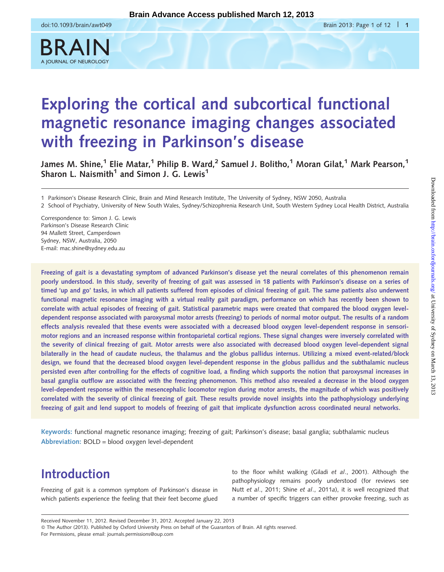

# Exploring the cortical and subcortical functional magnetic resonance imaging changes associated with freezing in Parkinson's disease

James M. Shine,<sup>1</sup> Elie Matar,<sup>1</sup> Philip B. Ward,<sup>2</sup> Samuel J. Bolitho,<sup>1</sup> Moran Gilat,<sup>1</sup> Mark Pearson,<sup>1</sup> Sharon L. Naismith<sup>1</sup> and Simon J. G. Lewis<sup>1</sup>

1 Parkinson's Disease Research Clinic, Brain and Mind Research Institute, The University of Sydney, NSW 2050, Australia

2 School of Psychiatry, University of New South Wales, Sydney/Schizophrenia Research Unit, South Western Sydney Local Health District, Australia

Correspondence to: Simon J. G. Lewis Parkinson's Disease Research Clinic 94 Mallett Street, Camperdown Sydney, NSW, Australia, 2050 E-mail: mac.shine@sydney.edu.au

Freezing of gait is a devastating symptom of advanced Parkinson's disease yet the neural correlates of this phenomenon remain poorly understood. In this study, severity of freezing of gait was assessed in 18 patients with Parkinson's disease on a series of timed 'up and go' tasks, in which all patients suffered from episodes of clinical freezing of gait. The same patients also underwent functional magnetic resonance imaging with a virtual reality gait paradigm, performance on which has recently been shown to correlate with actual episodes of freezing of gait. Statistical parametric maps were created that compared the blood oxygen leveldependent response associated with paroxysmal motor arrests (freezing) to periods of normal motor output. The results of a random effects analysis revealed that these events were associated with a decreased blood oxygen level-dependent response in sensorimotor regions and an increased response within frontoparietal cortical regions. These signal changes were inversely correlated with the severity of clinical freezing of gait. Motor arrests were also associated with decreased blood oxygen level-dependent signal bilaterally in the head of caudate nucleus, the thalamus and the globus pallidus internus. Utilizing a mixed event-related/block design, we found that the decreased blood oxygen level-dependent response in the globus pallidus and the subthalamic nucleus persisted even after controlling for the effects of cognitive load, a finding which supports the notion that paroxysmal increases in basal ganglia outflow are associated with the freezing phenomenon. This method also revealed a decrease in the blood oxygen level-dependent response within the mesencephalic locomotor region during motor arrests, the magnitude of which was positively correlated with the severity of clinical freezing of gait. These results provide novel insights into the pathophysiology underlying freezing of gait and lend support to models of freezing of gait that implicate dysfunction across coordinated neural networks.

Keywords: functional magnetic resonance imaging; freezing of gait; Parkinson's disease; basal ganglia; subthalamic nucleus Abbreviation: BOLD = blood oxygen level-dependent

# Introduction

Freezing of gait is a common symptom of Parkinson's disease in which patients experience the feeling that their feet become glued to the floor whilst walking (Giladi et al[., 2001](#page-10-0)). Although the pathophysiology remains poorly understood (for reviews see Nutt et al[., 2011;](#page-11-0) Shine et al[., 2011](#page-11-0)a), it is well recognized that a number of specific triggers can either provoke freezing, such as

Received November 11, 2012. Revised December 31, 2012. Accepted January 22, 2013 © The Author (2013). Published by Oxford University Press on behalf of the Guarantors of Brain. All rights reserved. For Permissions, please email: journals.permissions@oup.com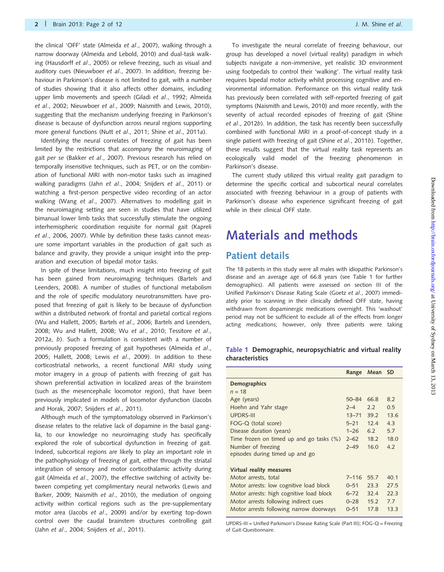<span id="page-1-0"></span>the clinical 'OFF' state [\(Almeida](#page-9-0) et al., 2007), walking through a narrow doorway [\(Almeida and Lebold, 2010\)](#page-9-0) and dual-task walking [\(Hausdorff](#page-10-0) et al., 2005) or relieve freezing, such as visual and auditory cues [\(Nieuwboer](#page-11-0) et al., 2007). In addition, freezing behaviour in Parkinson's disease is not limited to gait, with a number of studies showing that it also affects other domains, including upper limb movements and speech (Giladi et al[., 1992](#page-10-0); [Almeida](#page-10-0) et al[., 2002;](#page-10-0) [Nieuwboer](#page-11-0) et al., 2009; [Naismith and Lewis, 2010\)](#page-10-0), suggesting that the mechanism underlying freezing in Parkinson's disease is because of dysfunction across neural regions supporting more general functions (Nutt et al[., 2011;](#page-11-0) Shine et al[., 2011](#page-11-0)a).

Identifying the neural correlates of freezing of gait has been limited by the restrictions that accompany the neuroimaging of gait per se (Bakker et al[., 2007](#page-10-0)). Previous research has relied on temporally insensitive techniques, such as PET, or on the combination of functional MRI with non-motor tasks such as imagined walking paradigms (Jahn et al[., 2004](#page-10-0); [Snijders](#page-11-0) et al., 2011) or watching a first-person perspective video recording of an actor walking (Wang et al[., 2007](#page-11-0)). Alternatives to modelling gait in the neuroimaging setting are seen in studies that have utilized bimanual lower limb tasks that successfully stimulate the ongoing interhemispheric coordination requisite for normal gait [\(Kapreli](#page-10-0) et al[., 2006, 2007](#page-10-0)). While by definition these tasks cannot measure some important variables in the production of gait such as balance and gravity, they provide a unique insight into the preparation and execution of bipedal motor tasks.

In spite of these limitations, much insight into freezing of gait has been gained from neuroimaging techniques [\(Bartels and](#page-10-0) [Leenders, 2008\)](#page-10-0). A number of studies of functional metabolism and the role of specific modulatory neurotransmitters have proposed that freezing of gait is likely to be because of dysfunction within a distributed network of frontal and parietal cortical regions [\(Wu and Hallett, 2005](#page-11-0); Bartels et al[., 2006](#page-10-0); [Bartels and Leenders,](#page-10-0) [2008;](#page-10-0) [Wu and Hallett, 2008;](#page-11-0) Wu et al[., 2010; Tessitore](#page-11-0) et al., [2012](#page-11-0)a, [b](#page-11-0)). Such a formulation is consistent with a number of previously proposed freezing of gait hypotheses [\(Almeida](#page-9-0) et al., [2005;](#page-9-0) [Hallett, 2008](#page-10-0); Lewis et al[., 2009\)](#page-10-0). In addition to these corticostriatal networks, a recent functional MRI study using motor imagery in a group of patients with freezing of gait has shown preferential activation in localized areas of the brainstem (such as the mesencephalic locomotor region), that have been previously implicated in models of locomotor dysfunction ([Jacobs](#page-10-0) [and Horak, 2007;](#page-10-0) [Snijders](#page-11-0) et al., 2011).

Although much of the symptomatology observed in Parkinson's disease relates to the relative lack of dopamine in the basal ganglia, to our knowledge no neuroimaging study has specifically explored the role of subcortical dysfunction in freezing of gait. Indeed, subcortical regions are likely to play an important role in the pathophysiology of freezing of gait, either through the striatal integration of sensory and motor corticothalamic activity during gait ([Almeida](#page-9-0) et al., 2007), the effective switching of activity between competing yet complimentary neural networks ([Lewis and](#page-10-0) [Barker, 2009; Naismith](#page-10-0) et al., 2010), the mediation of ongoing activity within cortical regions such as the pre-supplementary motor area (Jacobs et al[., 2009\)](#page-10-0) and/or by exerting top-down control over the caudal brainstem structures controlling gait (Jahn et al[., 2004;](#page-10-0) [Snijders](#page-11-0) et al., 2011).

To investigate the neural correlate of freezing behaviour, our group has developed a novel (virtual reality) paradigm in which subjects navigate a non-immersive, yet realistic 3D environment using footpedals to control their 'walking'. The virtual reality task requires bipedal motor activity whilst processing cognitive and environmental information. Performance on this virtual reality task has previously been correlated with self-reported freezing of gait symptoms ([Naismith and Lewis, 2010](#page-10-0)) and more recently, with the severity of actual recorded episodes of freezing of gait [\(Shine](#page-11-0) et al[., 2012](#page-11-0)b). In addition, the task has recently been successfully combined with functional MRI in a proof-of-concept study in a single patient with freezing of gait (Shine et al[., 2011](#page-11-0)b). Together, these results suggest that the virtual reality task represents an ecologically valid model of the freezing phenomenon in Parkinson's disease.

The current study utilized this virtual reality gait paradigm to determine the specific cortical and subcortical neural correlates associated with freezing behaviour in a group of patients with Parkinson's disease who experience significant freezing of gait while in their clinical OFF state.

# Materials and methods

### Patient details

The 18 patients in this study were all males with idiopathic Parkinson's disease and an average age of 66.8 years (see Table 1 for further demographics). All patients were assessed on section III of the Unified Parkinson's Disease Rating Scale (Goetz et al[., 2007](#page-10-0)) immediately prior to scanning in their clinically defined OFF state, having withdrawn from dopaminergic medications overnight. This 'washout' period may not be sufficient to exclude all of the effects from longer acting medications; however, only three patients were taking

|                 | Table 1 Demographic, neuropsychiatric and virtual reality |  |  |
|-----------------|-----------------------------------------------------------|--|--|
| characteristics |                                                           |  |  |

|                                          | Range     | Mean SD |      |
|------------------------------------------|-----------|---------|------|
| Demographics                             |           |         |      |
| $n = 18$                                 |           |         |      |
| Age (years)                              | $50 - 84$ | 66.8    | 8.2  |
| Hoehn and Yahr stage                     | $2 - 4$   | 22      | 0.5  |
| <b>UPDRS-III</b>                         | $13 - 71$ | 39.2    | 13.6 |
| FOG-Q (total score)                      | $5 - 21$  | 12.4    | 4.3  |
| Disease duration (years)                 | $1 - 26$  | 62      | 5.7  |
| Time frozen on timed up and go tasks (%) | $2 - 62$  | 18.2    | 18.0 |
| Number of freezing                       | $2 - 49$  | 16.0    | 42   |
| episodes during timed up and go          |           |         |      |
|                                          |           |         |      |
| Virtual reality measures                 |           |         |      |
| Motor arrests, total                     | $7 - 116$ | 55.7    | 40.1 |
| Motor arrests: low cognitive load block  | $0 - 51$  | 23.3    | 27.5 |
| Motor arrests: high cognitive load block | $6 - 72$  | 32.4    | 22.3 |
| Motor arrests following indirect cues    | $0 - 28$  | 15.2    | 7.7  |
| Motor arrests following narrow doorways  | $0 - 51$  | 17.8    | 13.3 |
|                                          |           |         |      |

UPDRS-III = Unified Parkinson's Disease Rating Scale (Part III); FOG-Q = Freezing of Gait-Questionnaire.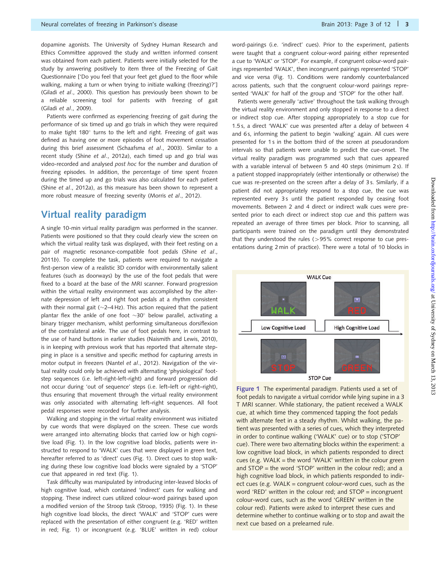dopamine agonists. The University of Sydney Human Research and Ethics Committee approved the study and written informed consent was obtained from each patient. Patients were initially selected for the study by answering positively to item three of the Freezing of Gait Questionnaire ['Do you feel that your feet get glued to the floor while walking, making a turn or when trying to initiate walking (freezing)?'] (Giladi et al[., 2000](#page-10-0)). This question has previously been shown to be a reliable screening tool for patients with freezing of gait (Giladi et al[., 2009](#page-10-0)).

Patients were confirmed as experiencing freezing of gait during the performance of six timed up and go trials in which they were required to make tight 180 $^{\circ}$  turns to the left and right. Freezing of gait was defined as having one or more episodes of foot movement cessation during this brief assessment [\(Schaafsma](#page-11-0) et al., 2003). Similar to a recent study (Shine et al[., 2012](#page-11-0)a), each timed up and go trial was video-recorded and analysed post hoc for the number and duration of freezing episodes. In addition, the percentage of time spent frozen during the timed up and go trials was also calculated for each patient (Shine et al[., 2012](#page-11-0)a), as this measure has been shown to represent a more robust measure of freezing severity (Morris et al[., 2012\)](#page-10-0).

### Virtual reality paradigm

A single 10-min virtual reality paradigm was performed in the scanner. Patients were positioned so that they could clearly view the screen on which the virtual reality task was displayed, with their feet resting on a pair of magnetic resonance-compatible foot pedals ([Shine](#page-11-0) et al., [2011](#page-11-0)b). To complete the task, patients were required to navigate a first-person view of a realistic 3D corridor with environmentally salient features (such as doorways) by the use of the foot pedals that were fixed to a board at the base of the MRI scanner. Forward progression within the virtual reality environment was accomplished by the alternate depression of left and right foot pedals at a rhythm consistent with their normal gait ( $\sim$ 2–4 Hz). This action required that the patient plantar flex the ankle of one foot  $\sim$ 30 $^{\circ}$  below parallel, activating a binary trigger mechanism, whilst performing simultaneous dorsiflexion of the contralateral ankle. The use of foot pedals here, in contrast to the use of hand buttons in earlier studies [\(Naismith and Lewis, 2010\)](#page-10-0), is in keeping with previous work that has reported that alternate stepping in place is a sensitive and specific method for capturing arrests in motor output in freezers (Nantel et al[., 2012](#page-11-0)). Navigation of the virtual reality could only be achieved with alternating 'physiological' footstep sequences (i.e. left-right-left-right) and forward progression did not occur during 'out of sequence' steps (i.e. left–left or right–right), thus ensuring that movement through the virtual reality environment was only associated with alternating left–right sequences. All foot pedal responses were recorded for further analysis.

Walking and stopping in the virtual reality environment was initiated by cue words that were displayed on the screen. These cue words were arranged into alternating blocks that carried low or high cognitive load (Fig. 1). In the low cognitive load blocks, patients were instructed to respond to 'WALK' cues that were displayed in green text, hereafter referred to as 'direct' cues (Fig. 1). Direct cues to stop walking during these low cognitive load blocks were signaled by a 'STOP' cue that appeared in red text (Fig. 1).

Task difficulty was manipulated by introducing inter-leaved blocks of high cognitive load, which contained 'indirect' cues for walking and stopping. These indirect cues utilized colour-word pairings based upon a modified version of the Stroop task [\(Stroop, 1935](#page-11-0)) (Fig. 1). In these high cognitive load blocks, the direct 'WALK' and 'STOP' cues were replaced with the presentation of either congruent (e.g. 'RED' written in red; Fig. 1) or incongruent (e.g. 'BLUE' written in red) colour

word-pairings (i.e. 'indirect' cues). Prior to the experiment, patients were taught that a congruent colour-word pairing either represented a cue to 'WALK' or 'STOP'. For example, if congruent colour-word pairings represented 'WALK', then incongruent pairings represented 'STOP' and vice versa (Fig. 1). Conditions were randomly counterbalanced across patients, such that the congruent colour-word pairings represented 'WALK' for half of the group and 'STOP' for the other half.

Patients were generally 'active' throughout the task walking through the virtual reality environment and only stopped in response to a direct or indirect stop cue. After stopping appropriately to a stop cue for 1.5 s, a direct 'WALK' cue was presented after a delay of between 4 and 6 s, informing the patient to begin 'walking' again. All cues were presented for 1 s in the bottom third of the screen at pseudorandom intervals so that patients were unable to predict the cue-onset. The virtual reality paradigm was programmed such that cues appeared with a variable interval of between 5 and 40 steps (minimum 2 s). If a patient stopped inappropriately (either intentionally or otherwise) the cue was re-presented on the screen after a delay of 3 s. Similarly, if a patient did not appropriately respond to a stop cue, the cue was represented every 3s until the patient responded by ceasing foot movements. Between 2 and 4 direct or indirect walk cues were presented prior to each direct or indirect stop cue and this pattern was repeated an average of three times per block. Prior to scanning, all participants were trained on the paradigm until they demonstrated that they understood the rules  $(>95\%$  correct response to cue presentations during 2 min of practice). There were a total of 10 blocks in



**STOP Cue** 

Figure 1 The experimental paradigm. Patients used a set of foot pedals to navigate a virtual corridor while lying supine in a 3 T MRI scanner. While stationary, the patient received a WALK cue, at which time they commenced tapping the foot pedals with alternate feet in a steady rhythm. Whilst walking, the patient was presented with a series of cues, which they interpreted in order to continue walking ('WALK' cue) or to stop ('STOP' cue). There were two alternating blocks within the experiment: a low cognitive load block, in which patients responded to direct cues (e.g. WALK = the word 'WALK' written in the colour green and STOP = the word 'STOP' written in the colour red); and a high cognitive load block, in which patients responded to indirect cues (e.g.  $WALK = congruent colour-word cues, such as the$ word 'RED' written in the colour red; and STOP = incongruent colour-word cues, such as the word 'GREEN' written in the colour red). Patients were asked to interpret these cues and determine whether to continue walking or to stop and await the next cue based on a prelearned rule.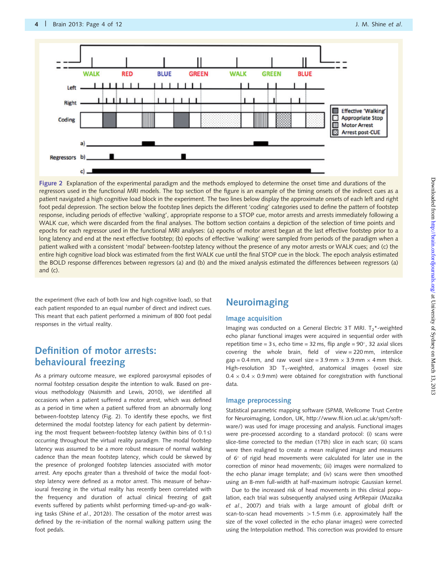<span id="page-3-0"></span>

Figure 2 Explanation of the experimental paradigm and the methods employed to determine the onset time and durations of the regressors used in the functional MRI models. The top section of the figure is an example of the timing onsets of the indirect cues as a patient navigated a high cognitive load block in the experiment. The two lines below display the approximate onsets of each left and right foot pedal depression. The section below the footstep lines depicts the different 'coding' categories used to define the pattern of footstep response, including periods of effective 'walking', appropriate response to a STOP cue, motor arrests and arrests immediately following a WALK cue, which were discarded from the final analyses. The bottom section contains a depiction of the selection of time points and epochs for each regressor used in the functional MRI analyses: (a) epochs of motor arrest began at the last effective footstep prior to a long latency and end at the next effective footstep; (b) epochs of effective 'walking' were sampled from periods of the paradigm when a patient walked with a consistent 'modal' between-footstep latency without the presence of any motor arrests or WALK cues; and (c) the entire high cognitive load block was estimated from the first WALK cue until the final STOP cue in the block. The epoch analysis estimated the BOLD response differences between regressors (a) and (b) and the mixed analysis estimated the differences between regressors (a) and (c).

the experiment (five each of both low and high cognitive load), so that each patient responded to an equal number of direct and indirect cues. This meant that each patient performed a minimum of 800 foot pedal responses in the virtual reality.

### Definition of motor arrests: behavioural freezing

As a primary outcome measure, we explored paroxysmal episodes of normal footstep cessation despite the intention to walk. Based on previous methodology [\(Naismith and Lewis, 2010\)](#page-10-0), we identified all occasions when a patient suffered a motor arrest, which was defined as a period in time when a patient suffered from an abnormally long between-footstep latency (Fig. 2). To identify these epochs, we first determined the modal footstep latency for each patient by determining the most frequent between-footstep latency (within bins of 0.1 s) occurring throughout the virtual reality paradigm. The modal footstep latency was assumed to be a more robust measure of normal walking cadence than the mean footstep latency, which could be skewed by the presence of prolonged footstep latencies associated with motor arrest. Any epochs greater than a threshold of twice the modal footstep latency were defined as a motor arrest. This measure of behavioural freezing in the virtual reality has recently been correlated with the frequency and duration of actual clinical freezing of gait events suffered by patients whilst performing timed-up-and-go walking tasks (Shine et al[., 2012](#page-11-0)b). The cessation of the motor arrest was defined by the re-initiation of the normal walking pattern using the foot pedals.

### **Neuroimaging**

#### Image acquisition

Imaging was conducted on a General Electric 3T MRI.  $T_2^*$ -weighted echo planar functional images were acquired in sequential order with repetition time = 3 s, echo time = 32 ms, flip angle =  $90^{\circ}$ , 32 axial slices covering the whole brain, field of view = 220 mm, interslice  $gap = 0.4$  mm, and raw voxel size = 3.9 mm  $\times$  3.9 mm  $\times$  4 mm thick. High-resolution 3D  $T_1$ -weighted, anatomical images (voxel size  $0.4 \times 0.4 \times 0.9$  mm) were obtained for coregistration with functional data.

#### Image preprocessing

Statistical parametric mapping software (SPM8, Wellcome Trust Centre for Neuroimaging, London, UK, [http://www.fil.ion.ucl.ac.uk/spm/soft](http://www.fil.ion.ucl.ac.uk/spm/software/)[ware/\)](http://www.fil.ion.ucl.ac.uk/spm/software/) was used for image processing and analysis. Functional images were pre-processed according to a standard protocol: (i) scans were slice-time corrected to the median (17th) slice in each scan; (ii) scans were then realigned to create a mean realigned image and measures of 6° of rigid head movements were calculated for later use in the correction of minor head movements; (iii) images were normalized to the echo planar image template; and (iv) scans were then smoothed using an 8-mm full-width at half-maximum isotropic Gaussian kernel.

Due to the increased risk of head movements in this clinical population, each trial was subsequently analysed using ArtRepair [\(Mazaika](#page-10-0) et al[., 2007](#page-10-0)) and trials with a large amount of global drift or scan-to-scan head movements  $>1.5$  mm (i.e. approximately half the size of the voxel collected in the echo planar images) were corrected using the Interpolation method. This correction was provided to ensure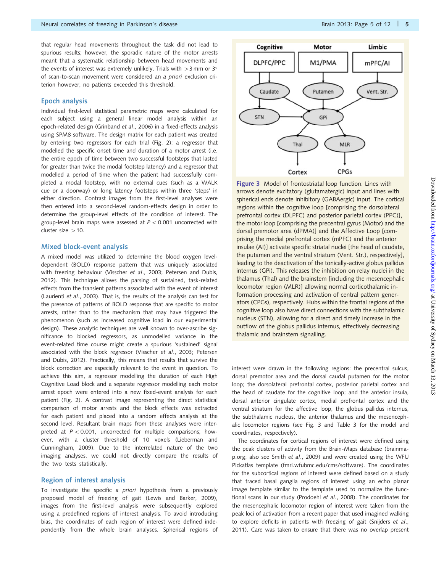that regular head movements throughout the task did not lead to spurious results; however, the sporadic nature of the motor arrests meant that a systematic relationship between head movements and the events of interest was extremely unlikely. Trials with  $>$ 3 mm or 3 $^{\circ}$ of scan-to-scan movement were considered an a priori exclusion criterion however, no patients exceeded this threshold.

#### Epoch analysis

Individual first-level statistical parametric maps were calculated for each subject using a general linear model analysis within an epoch-related design ([Grinband](#page-10-0) et al., 2006) in a fixed-effects analysis using SPM8 software. The design matrix for each patient was created by entering two regressors for each trial ([Fig. 2\)](#page-3-0): a regressor that modelled the specific onset time and duration of a motor arrest (i.e. the entire epoch of time between two successful footsteps that lasted for greater than twice the modal footstep latency) and a regressor that modelled a period of time when the patient had successfully completed a modal footstep, with no external cues (such as a WALK cue or a doorway) or long latency footsteps within three 'steps' in either direction. Contrast images from the first-level analyses were then entered into a second-level random-effects design in order to determine the group-level effects of the condition of interest. The group-level brain maps were assessed at  $P < 0.001$  uncorrected with cluster size  $>10$ .

#### Mixed block-event analysis

A mixed model was utilized to determine the blood oxygen leveldependent (BOLD) response pattern that was uniquely associated with freezing behaviour ([Visscher](#page-11-0) et al., 2003; [Petersen and Dubis,](#page-11-0) [2012](#page-11-0)). This technique allows the parsing of sustained, task-related effects from the transient patterns associated with the event of interest [\(Laurienti](#page-10-0) et al., 2003). That is, the results of the analysis can test for the presence of patterns of BOLD response that are specific to motor arrests, rather than to the mechanism that may have triggered the phenomenon (such as increased cognitive load in our experimental design). These analytic techniques are well known to over-ascribe significance to blocked regressors, as unmodelled variance in the event-related time course might create a spurious 'sustained' signal associated with the block regressor ([Visscher](#page-11-0) et al., 2003; [Petersen](#page-11-0) [and Dubis, 2012](#page-11-0)). Practically, this means that results that survive the block correction are especially relevant to the event in question. To achieve this aim, a regressor modelling the duration of each High Cognitive Load block and a separate regressor modelling each motor arrest epoch were entered into a new fixed-event analysis for each patient ([Fig. 2\)](#page-3-0). A contrast image representing the direct statistical comparison of motor arrests and the block effects was extracted for each patient and placed into a random effects analysis at the second level. Resultant brain maps from these analyses were interpreted at  $P < 0.001$ , uncorrected for multiple comparisons; however, with a cluster threshold of 10 voxels ([Lieberman and](#page-10-0) [Cunningham, 2009](#page-10-0)). Due to the interrelated nature of the two imaging analyses, we could not directly compare the results of the two tests statistically.

#### Region of interest analysis

To investigate the specific a priori hypothesis from a previously proposed model of freezing of gait ([Lewis and Barker, 2009\)](#page-10-0), images from the first-level analysis were subsequently explored using a predefined regions of interest analysis. To avoid introducing bias, the coordinates of each region of interest were defined independently from the whole brain analyses. Spherical regions of



Figure 3 Model of frontostriatal loop function. Lines with arrows denote excitatory (glutamatergic) input and lines with spherical ends denote inhibitory (GABAergic) input. The cortical regions within the cognitive loop [comprising the dorsolateral prefrontal cortex (DLPFC) and posterior parietal cortex (PPC)], the motor loop [comprising the precentral gyrus (Motor) and the dorsal premotor area (dPMA)] and the Affective Loop [comprising the medial prefrontal cortex (mPFC) and the anterior insulae (AI)] activate specific striatal nuclei [the head of caudate, the putamen and the ventral striatum (Vent. Str.), respectively], leading to the deactivation of the tonically-active globus pallidus internus (GPi). This releases the inhibition on relay nuclei in the thalamus (Thal) and the brainstem [including the mesencephalic locomotor region (MLR)] allowing normal corticothalamic information processing and activation of central pattern generators (CPGs), respectively. Hubs within the frontal regions of the cognitive loop also have direct connections with the subthalamic nucleus (STN), allowing for a direct and timely increase in the outflow of the globus pallidus internus, effectively decreasing thalamic and brainstem signalling.

interest were drawn in the following regions: the precentral sulcus, dorsal premotor area and the dorsal caudal putamen for the motor loop; the dorsolateral prefrontal cortex, posterior parietal cortex and the head of caudate for the cognitive loop; and the anterior insula, dorsal anterior cingulate cortex, medial prefrontal cortex and the ventral striatum for the affective loop, the globus pallidus internus, the subthalamic nucleus, the anterior thalamus and the mesencephalic locomotor regions (see Fig. 3 and [Table 3](#page-6-0) for the model and coordinates, respectively).

The coordinates for cortical regions of interest were defined using the peak clusters of activity from the Brain-Maps database (brainmap.org; also see Smith et al[., 2009\)](#page-11-0) and were created using the WFU Pickatlas template (fmri.wfubmc.edu/cms/software). The coordinates for the subcortical regions of interest were defined based on a study that traced basal ganglia regions of interest using an echo planar image template similar to the template used to normalize the functional scans in our study ([Prodoehl](#page-11-0) et al., 2008). The coordinates for the mesencephalic locomotor region of interest were taken from the peak loci of activation from a recent paper that used imagined walking to explore deficits in patients with freezing of gait ([Snijders](#page-11-0) et al., [2011](#page-11-0)). Care was taken to ensure that there was no overlap present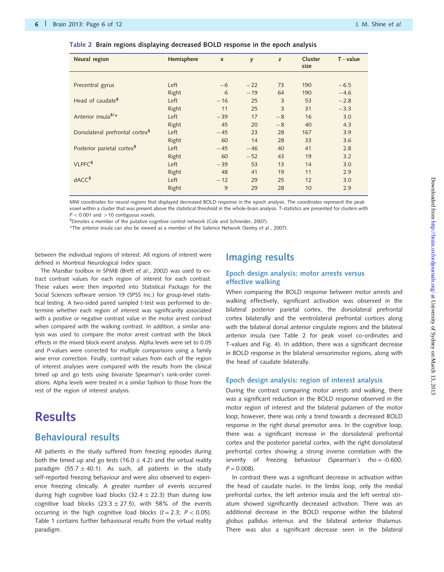| Neural region                               | Hemisphere | $\boldsymbol{x}$ | y     | z    | Cluster<br>size | $T$ – value |
|---------------------------------------------|------------|------------------|-------|------|-----------------|-------------|
|                                             |            |                  |       |      |                 |             |
| Precentral gyrus                            | Left       | $-6$             | $-22$ | 73   | 190             | $-6.5$      |
|                                             | Right      | 6                | $-19$ | 64   | 190             | $-4.6$      |
| Head of caudate <sup>§</sup>                | Left       | $-16$            | 25    | 3    | 53              | $-2.8$      |
|                                             | Right      | 11               | 25    | 3    | 31              | $-3.3$      |
| Anterior insula <sup>§/*</sup>              | Left       | $-39$            | 17    | $-8$ | 16              | 3.0         |
|                                             | Right      | 45               | 20    | $-8$ | 40              | 4.3         |
| Dorsolateral prefrontal cortex <sup>§</sup> | Left       | $-45$            | 23    | 28   | 167             | 3.9         |
|                                             | Right      | 60               | 14    | 28   | 33              | 3.6         |
| Posterior parietal cortex <sup>§</sup>      | Left       | $-45$            | $-46$ | 40   | 41              | 2.8         |
|                                             | Right      | 60               | $-52$ | 43   | 19              | 3.2         |
| VLPFC <sup>§</sup>                          | Left       | $-39$            | 53    | 13   | 14              | 3.0         |
|                                             | Right      | 48               | 41    | 19   | 11              | 2.9         |
| dACC <sup>§</sup>                           | Left       | $-12$            | 29    | 25   | 12              | 3.0         |
|                                             | Right      | 9                | 29    | 28   | 10              | 2.9         |

|  |  |  |  |  |  |  |  | Table 2  Brain regions displaying decreased BOLD response in the epoch analysis |  |  |  |  |  |
|--|--|--|--|--|--|--|--|---------------------------------------------------------------------------------|--|--|--|--|--|
|--|--|--|--|--|--|--|--|---------------------------------------------------------------------------------|--|--|--|--|--|

MNI coordinates for neural regions that displayed decreased BOLD response in the epoch analysis. The coordinates represent the peak voxel within a cluster that was present above the statistical threshold in the whole-brain analysis. T-statistics are presented for clusters with  $P < 0.001$  and  $> 10$  contiguous voxels.

§ Denotes a member of the putative cognitive control network ([Cole and Schneider, 2007\)](#page-10-0).

\*The anterior insula can also be viewed as a member of the Salience Network (Seeley et al[., 2007](#page-11-0)).

between the individual regions of interest. All regions of interest were defined in Montreal Neurological Index space.

The MarsBar toolbox in SPM8 (Brett et al[., 2002](#page-10-0)) was used to extract contrast values for each region of interest for each contrast. These values were then imported into Statistical Package for the Social Sciences software version 19 (SPSS Inc.) for group-level statistical testing. A two-sided paired sampled t-test was performed to determine whether each region of interest was significantly associated with a positive or negative contrast value in the motor arrest contrast when compared with the walking contrast. In addition, a similar analysis was used to compare the motor arrest contrast with the block effects in the mixed block-event analysis. Alpha levels were set to 0.05 and P-values were corrected for multiple comparisons using a family wise error correction. Finally, contrast values from each of the region of interest analyses were compared with the results from the clinical timed up and go tests using bivariate Spearman's rank-order correlations. Alpha levels were treated in a similar fashion to those from the rest of the region of interest analysis.

## **Results**

### Behavioural results

All patients in the study suffered from freezing episodes during both the timed up and go tests (16.0  $\pm$  4.2) and the virtual reality paradigm (55.7  $\pm$  40.1). As such, all patients in the study self-reported freezing behaviour and were also observed to experience freezing clinically. A greater number of events occurred during high cognitive load blocks (32.4  $\pm$  22.3) than during low cognitive load blocks (23.3  $\pm$  27.5), with 58% of the events occurring in the high cognitive load blocks ( $t = 2.3$ ;  $P < 0.05$ ). [Table 1](#page-1-0) contains further behavioural results from the virtual reality paradigm.

### Imaging results

#### Epoch design analysis: motor arrests versus effective walking

When comparing the BOLD response between motor arrests and walking effectively, significant activation was observed in the bilateral posterior parietal cortex, the dorsolateral prefrontal cortex bilaterally and the ventrolateral prefrontal cortices along with the bilateral dorsal anterior cingulate regions and the bilateral anterior insula (see Table 2 for peak voxel co-ordinates and T-values and [Fig. 4\)](#page-7-0). In addition, there was a significant decrease in BOLD response in the bilateral sensorimotor regions, along with the head of caudate bilaterally.

#### Epoch design analysis: region of interest analysis

During the contrast comparing motor arrests and walking, there was a significant reduction in the BOLD response observed in the motor region of interest and the bilateral putamen of the motor loop; however, there was only a trend towards a decreased BOLD response in the right dorsal premotor area. In the cognitive loop, there was a significant increase in the dorsolateral prefrontal cortex and the posterior parietal cortex, with the right dorsolateral prefrontal cortex showing a strong inverse correlation with the severity of freezing behaviour (Spearman's rho = -0.600,  $P = 0.008$ 

In contrast there was a significant decrease in activation within the head of caudate nuclei. In the limbic loop, only the medial prefrontal cortex, the left anterior insula and the left ventral striatum showed significantly decreased activation. There was an additional decrease in the BOLD response within the bilateral globus pallidus internus and the bilateral anterior thalamus. There was also a significant decrease seen in the bilateral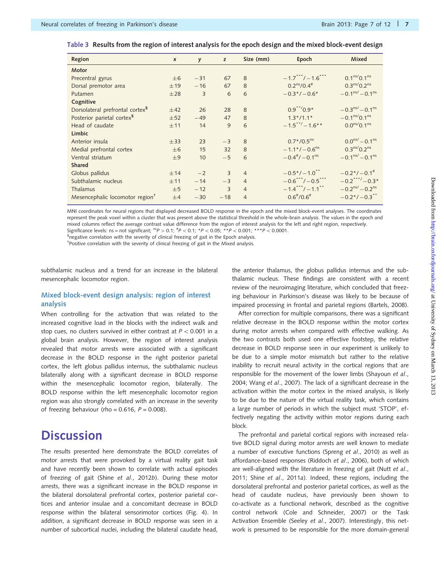| Region                                      | $\boldsymbol{x}$ | y     | z              | Size (mm)      | Epoch                                           | Mixed                                |
|---------------------------------------------|------------------|-------|----------------|----------------|-------------------------------------------------|--------------------------------------|
| Motor                                       |                  |       |                |                |                                                 |                                      |
| Precentral gyrus                            | $\pm 6$          | $-31$ | 67             | 8              | $-1.7***/-1.6***$                               | $0.1^{\text{ns}}/0.1^{\text{ns}}$    |
| Dorsal premotor area                        | ±19              | $-16$ | 67             | 8              | $0.2^{\text{ns}}/0.4^{\#}$                      | $0.3^{ns}$ $(0.2^{ns})$              |
| Putamen                                     | ±28              | 3     | 6              | 6              | $-0.3*/-0.6*$                                   | $-0.1^{\text{ns}} - 0.1^{\text{ns}}$ |
| Cognitive                                   |                  |       |                |                |                                                 |                                      |
| Dorsolateral prefrontal cortex <sup>9</sup> | ±42              | 26    | 28             | 8              | $0.9***/0.9*$                                   | $-0.3ns/ - 0.1ns$                    |
| Posterior parietal cortex <sup>§</sup>      | ±52              | $-49$ | 47             | 8              | $1.3*/1.1*$                                     | $-0.1^{\text{ns}}/0.1^{\text{ns}}$   |
| Head of caudate                             | ±11              | 14    | 9              | 6              | $-1.5***/-1.6***$                               | $0.0^{ns}/0.1^{ns}$                  |
| Limbic                                      |                  |       |                |                |                                                 |                                      |
| Anterior insula                             | ±33              | 23    | $-3$           | $\mathcal{R}$  | $0.7*/0.5ns$                                    | $0.0^{\text{ns}} - 0.1^{\text{ns}}$  |
| Medial prefrontal cortex                    | $\pm 6$          | 15    | 32             | 8              | $-1.1*/-0.6$ <sup>ns</sup>                      | $0.3^{ns}$ $(0.2^{ns})$              |
| Ventral striatum                            | ±9               | 10    | $-5$           | 6              | $-0.4^{\frac{\text{#}}{}}$ / $-0.1^{\text{ns}}$ | $-0.1^{\text{ns}} - 0.1^{\text{ns}}$ |
| <b>Shared</b>                               |                  |       |                |                |                                                 |                                      |
| Globus pallidus                             | ±14              | $-2$  | 3              | $\overline{4}$ | $-0.5*/-1.0$ <sup>**</sup>                      | $-0.2*/-0.1$ <sup>#</sup>            |
| Subthalamic nucleus                         | ±11              | $-14$ | $-3$           | $\overline{4}$ | $-0.6***/-0.5***$                               | $-0.2***/-0.3*$                      |
| <b>Thalamus</b>                             | $\pm 5$          | $-12$ | $\overline{3}$ | $\overline{4}$ | $-1.4***/-1.1***$                               | $-0.2^{\text{ns}} - 0.2^{\text{ns}}$ |
| Mesencephalic locomotor region <sup>+</sup> | ±4               | $-30$ | $-18$          | $\overline{4}$ | $0.6^{\frac{+}{}}/0.6^{\frac{+}{}}$             | $-0.2*/-0.3$ <sup>**</sup>           |

<span id="page-6-0"></span>Table 3 Results from the region of interest analysis for the epoch design and the mixed block-event design

MNI coordinates for neural regions that displayed decreased BOLD response in the epoch and the mixed block-event analyses. The coordinates represent the peak voxel within a cluster that was present above the statistical threshold in the whole-brain analysis. The values in the epoch and mixed columns reflect the average contrast value difference from the region of interest analysis for the left and right region, respectively. Significance levels: ns = not significant;  ${}^{ns}P > 0.1$ ;  ${}^{tp}$  < 0.1;  ${}^{*}P$  < 0.05;  ${}^{**}P$  < 0.001;  ${}^{***}P$  < 0.0001.

<sup>§</sup>negative correlation with the severity of clinical freezing of gait in the Epoch analysis.

† Positive correlation with the severity of clinical freezing of gait in the Mixed analysis.

subthalamic nucleus and a trend for an increase in the bilateral mesencephalic locomotor region.

#### Mixed block-event design analysis: region of interest analysis

When controlling for the activation that was related to the increased cognitive load in the blocks with the indirect walk and stop cues, no clusters survived in either contrast at  $P < 0.001$  in a global brain analysis. However, the region of interest analysis revealed that motor arrests were associated with a significant decrease in the BOLD response in the right posterior parietal cortex, the left globus pallidus internus, the subthalamic nucleus bilaterally along with a significant decrease in BOLD response within the mesencephalic locomotor region, bilaterally. The BOLD response within the left mesencephalic locomotor region region was also strongly correlated with an increase in the severity of freezing behaviour (rho =  $0.616$ ,  $P = 0.008$ ).

### **Discussion**

The results presented here demonstrate the BOLD correlates of motor arrests that were provoked by a virtual reality gait task and have recently been shown to correlate with actual episodes of freezing of gait (Shine et al[., 2012](#page-11-0)b). During these motor arrests, there was a significant increase in the BOLD response in the bilateral dorsolateral prefrontal cortex, posterior parietal cortices and anterior insulae and a concomitant decrease in BOLD response within the bilateral sensorimotor cortices ([Fig. 4](#page-7-0)). In addition, a significant decrease in BOLD response was seen in a number of subcortical nuclei, including the bilateral caudate head, the anterior thalamus, the globus pallidus internus and the subthalamic nucleus. These findings are consistent with a recent review of the neuroimaging literature, which concluded that freezing behaviour in Parkinson's disease was likely to be because of impaired processing in frontal and parietal regions [\(Bartels, 2008](#page-10-0)).

After correction for multiple comparisons, there was a significant relative decrease in the BOLD response within the motor cortex during motor arrests when compared with effective walking. As the two contrasts both used one effective footstep, the relative decrease in BOLD response seen in our experiment is unlikely to be due to a simple motor mismatch but rather to the relative inability to recruit neural activity in the cortical regions that are responsible for the movement of the lower limbs [\(Shayoun](#page-11-0) et al., [2004](#page-11-0); Wang et al[., 2007\)](#page-11-0). The lack of a significant decrease in the activation within the motor cortex in the mixed analysis, is likely to be due to the nature of the virtual reality task, which contains a large number of periods in which the subject must 'STOP', effectively negating the activity within motor regions during each block.

The prefrontal and parietal cortical regions with increased relative BOLD signal during motor arrests are well known to mediate a number of executive functions (Spreng et al[., 2010\)](#page-11-0) as well as affordance-based responses [\(Riddoch](#page-11-0) et al., 2006), both of which are well-aligned with the literature in freezing of gait [\(Nutt](#page-11-0) et al., [2011](#page-11-0); Shine et al[., 2011](#page-11-0)a). Indeed, these regions, including the dorsolateral prefrontal and posterior parietal cortices, as well as the head of caudate nucleus, have previously been shown to co-activate as a functional network, described as the cognitive control network [\(Cole and Schneider, 2007](#page-10-0)) or the Task Activation Ensemble (Seeley et al[., 2007](#page-11-0)). Interestingly, this network is presumed to be responsible for the more domain-general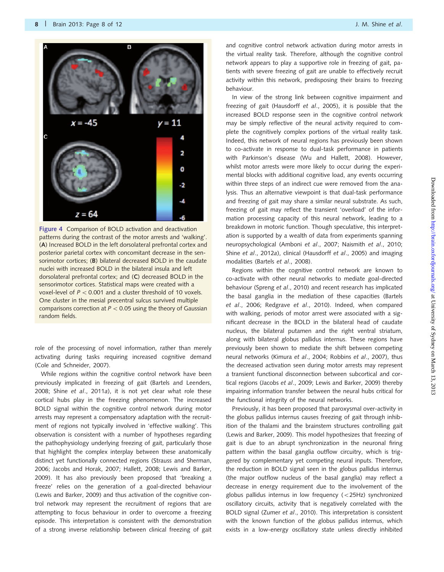

<span id="page-7-0"></span>

Figure 4 Comparison of BOLD activation and deactivation patterns during the contrast of the motor arrests and 'walking'. (A) Increased BOLD in the left dorsolateral prefrontal cortex and posterior parietal cortex with concomitant decrease in the sensorimotor cortices; (B) bilateral decreased BOLD in the caudate nuclei with increased BOLD in the bilateral insula and left dorsolateral prefrontal cortex; and (C) decreased BOLD in the sensorimotor cortices. Statistical maps were created with a voxel-level of  $P < 0.001$  and a cluster threshold of 10 voxels. One cluster in the mesial precentral sulcus survived multiple comparisons correction at  $P < 0.05$  using the theory of Gaussian random fields.

role of the processing of novel information, rather than merely activating during tasks requiring increased cognitive demand [\(Cole and Schneider, 2007](#page-10-0)).

While regions within the cognitive control network have been previously implicated in freezing of gait [\(Bartels and Leenders,](#page-10-0) [2008;](#page-10-0) Shine et al[., 2011](#page-11-0)a), it is not yet clear what role these cortical hubs play in the freezing phenomenon. The increased BOLD signal within the cognitive control network during motor arrests may represent a compensatory adaptation with the recruitment of regions not typically involved in 'effective walking'. This observation is consistent with a number of hypotheses regarding the pathophysiology underlying freezing of gait, particularly those that highlight the complex interplay between these anatomically distinct yet functionally connected regions ([Strauss and Sherman,](#page-11-0) [2006;](#page-11-0) [Jacobs and Horak, 2007](#page-10-0); [Hallett, 2008](#page-10-0); [Lewis and Barker,](#page-10-0) [2009\)](#page-10-0). It has also previously been proposed that 'breaking a freeze' relies on the generation of a goal-directed behaviour [\(Lewis and Barker, 2009](#page-10-0)) and thus activation of the cognitive control network may represent the recruitment of regions that are attempting to focus behaviour in order to overcome a freezing episode. This interpretation is consistent with the demonstration of a strong inverse relationship between clinical freezing of gait and cognitive control network activation during motor arrests in the virtual reality task. Therefore, although the cognitive control network appears to play a supportive role in freezing of gait, patients with severe freezing of gait are unable to effectively recruit activity within this network, predisposing their brains to freezing behaviour.

In view of the strong link between cognitive impairment and freezing of gait [\(Hausdorff](#page-10-0) et al., 2005), it is possible that the increased BOLD response seen in the cognitive control network may be simply reflective of the neural activity required to complete the cognitively complex portions of the virtual reality task. Indeed, this network of neural regions has previously been shown to co-activate in response to dual-task performance in patients with Parkinson's disease [\(Wu and Hallett, 2008\)](#page-11-0). However, whilst motor arrests were more likely to occur during the experimental blocks with additional cognitive load, any events occurring within three steps of an indirect cue were removed from the analysis. Thus an alternative viewpoint is that dual-task performance and freezing of gait may share a similar neural substrate. As such, freezing of gait may reflect the transient 'overload' of the information processing capacity of this neural network, leading to a breakdown in motoric function. Though speculative, this interpretation is supported by a wealth of data from experiments spanning neuropsychological [\(Amboni](#page-10-0) et al., 2007; [Naismith](#page-10-0) et al., 2010; Shine et al[., 2012](#page-11-0)a), clinical [\(Hausdorff](#page-10-0) et al., 2005) and imaging modalities (Bartels et al[., 2008\)](#page-10-0).

Regions within the cognitive control network are known to co-activate with other neural networks to mediate goal-directed behaviour (Spreng et al[., 2010](#page-11-0)) and recent research has implicated the basal ganglia in the mediation of these capacities [\(Bartels](#page-10-0) et al[., 2006](#page-10-0); [Redgrave](#page-11-0) et al., 2010). Indeed, when compared with walking, periods of motor arrest were associated with a significant decrease in the BOLD in the bilateral head of caudate nucleus, the bilateral putamen and the right ventral striatum, along with bilateral globus pallidus internus. These regions have previously been shown to mediate the shift between competing neural networks (Kimura et al[., 2004](#page-10-0); [Robbins](#page-11-0) et al., 2007), thus the decreased activation seen during motor arrests may represent a transient functional disconnection between subcortical and cortical regions (Jacobs et al[., 2009; Lewis and Barker, 2009\)](#page-10-0) thereby impairing information transfer between the neural hubs critical for the functional integrity of the neural networks.

Previously, it has been proposed that paroxysmal over-activity in the globus pallidus internus causes freezing of gait through inhibition of the thalami and the brainstem structures controlling gait ([Lewis and Barker, 2009\)](#page-10-0). This model hypothesizes that freezing of gait is due to an abrupt synchronization in the neuronal firing pattern within the basal ganglia outflow circuitry, which is triggered by complementary yet competing neural inputs. Therefore, the reduction in BOLD signal seen in the globus pallidus internus (the major outflow nucleus of the basal ganglia) may reflect a decrease in energy requirement due to the involvement of the globus pallidus internus in low frequency  $(<25Hz)$  synchronized oscillatory circuits, activity that is negatively correlated with the BOLD signal (Zumer et al[., 2010\)](#page-11-0). This interpretation is consistent with the known function of the globus pallidus internus, which exists in a low-energy oscillatory state unless directly inhibited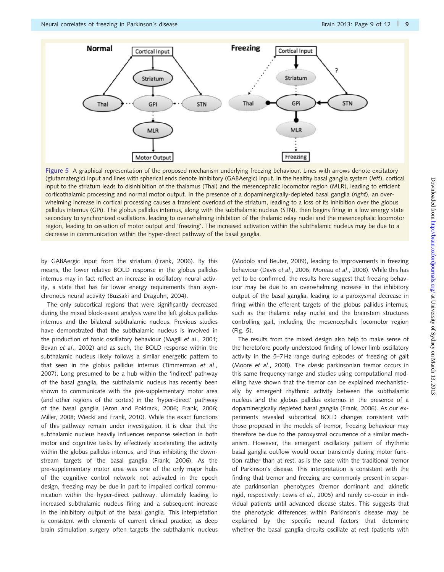

Figure 5 A graphical representation of the proposed mechanism underlying freezing behaviour. Lines with arrows denote excitatory (glutamatergic) input and lines with spherical ends denote inhibitory (GABAergic) input. In the healthy basal ganglia system (left), cortical input to the striatum leads to disinhibition of the thalamus (Thal) and the mesencephalic locomotor region (MLR), leading to efficient corticothalamic processing and normal motor output. In the presence of a dopaminergically-depleted basal ganglia (right), an overwhelming increase in cortical processing causes a transient overload of the striatum, leading to a loss of its inhibition over the globus pallidus internus (GPi). The globus pallidus internus, along with the subthalamic nucleus (STN), then begins firing in a low energy state secondary to synchronized oscillations, leading to overwhelming inhibition of the thalamic relay nuclei and the mesencephalic locomotor region, leading to cessation of motor output and 'freezing'. The increased activation within the subthalamic nucleus may be due to a decrease in communication within the hyper-direct pathway of the basal ganglia.

by GABAergic input from the striatum ([Frank, 2006](#page-10-0)). By this means, the lower relative BOLD response in the globus pallidus internus may in fact reflect an increase in oscillatory neural activity, a state that has far lower energy requirements than asynchronous neural activity [\(Buzsaki and Draguhn, 2004\)](#page-10-0).

The only subcortical regions that were significantly decreased during the mixed block-event analysis were the left globus pallidus internus and the bilateral subthalamic nucleus. Previous studies have demonstrated that the subthalamic nucleus is involved in the production of tonic oscillatory behaviour (Magill et al[., 2001](#page-10-0); Bevan et al[., 2002](#page-10-0)) and as such, the BOLD response within the subthalamic nucleus likely follows a similar energetic pattern to that seen in the globus pallidus internus [\(Timmerman](#page-11-0) et al., [2007](#page-11-0)). Long presumed to be a hub within the 'indirect' pathway of the basal ganglia, the subthalamic nucleus has recently been shown to communicate with the pre-supplementary motor area (and other regions of the cortex) in the 'hyper-direct' pathway of the basal ganglia ([Aron and Poldrack, 2006; Frank, 2006](#page-10-0); [Miller, 2008;](#page-10-0) [Wiecki and Frank, 2010\)](#page-11-0). While the exact functions of this pathway remain under investigation, it is clear that the subthalamic nucleus heavily influences response selection in both motor and cognitive tasks by effectively accelerating the activity within the globus pallidus internus, and thus inhibiting the downstream targets of the basal ganglia [\(Frank, 2006](#page-10-0)). As the pre-supplementary motor area was one of the only major hubs of the cognitive control network not activated in the epoch design, freezing may be due in part to impaired cortical communication within the hyper-direct pathway, ultimately leading to increased subthalamic nucleus firing and a subsequent increase in the inhibitory output of the basal ganglia. This interpretation is consistent with elements of current clinical practice, as deep brain stimulation surgery often targets the subthalamic nucleus [\(Modolo and Beuter, 2009\)](#page-10-0), leading to improvements in freezing behaviour (Davis et al[., 2006; Moreau](#page-10-0) et al., 2008). While this has yet to be confirmed, the results here suggest that freezing behaviour may be due to an overwhelming increase in the inhibitory output of the basal ganglia, leading to a paroxysmal decrease in firing within the efferent targets of the globus pallidus internus, such as the thalamic relay nuclei and the brainstem structures controlling gait, including the mesencephalic locomotor region (Fig. 5).

The results from the mixed design also help to make sense of the heretofore poorly understood finding of lower limb oscillatory activity in the 5–7 Hz range during episodes of freezing of gait (Moore et al[., 2008\)](#page-10-0). The classic parkinsonian tremor occurs in this same frequency range and studies using computational modelling have shown that the tremor can be explained mechanistically by emergent rhythmic activity between the subthalamic nucleus and the globus pallidus externus in the presence of a dopaminergically depleted basal ganglia ([Frank, 2006](#page-10-0)). As our experiments revealed subcortical BOLD changes consistent with those proposed in the models of tremor, freezing behaviour may therefore be due to the paroxysmal occurrence of a similar mechanism. However, the emergent oscillatory pattern of rhythmic basal ganglia outflow would occur transiently during motor function rather than at rest, as is the case with the traditional tremor of Parkinson's disease. This interpretation is consistent with the finding that tremor and freezing are commonly present in separate parkinsonian phenotypes (tremor dominant and akinetic rigid, respectively; Lewis et al[., 2005](#page-10-0)) and rarely co-occur in individual patients until advanced disease states. This suggests that the phenotypic differences within Parkinson's disease may be explained by the specific neural factors that determine whether the basal ganglia circuits oscillate at rest (patients with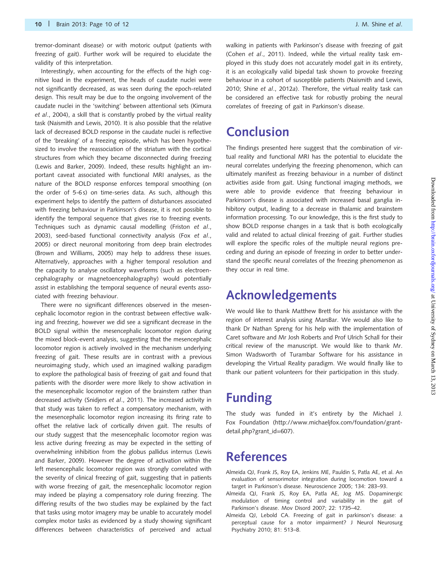<span id="page-9-0"></span>tremor-dominant disease) or with motoric output (patients with freezing of gait). Further work will be required to elucidate the validity of this interpretation.

Interestingly, when accounting for the effects of the high cognitive load in the experiment, the heads of caudate nuclei were not significantly decreased, as was seen during the epoch-related design. This result may be due to the ongoing involvement of the caudate nuclei in the 'switching' between attentional sets [\(Kimura](#page-10-0) et al[., 2004](#page-10-0)), a skill that is constantly probed by the virtual reality task [\(Naismith and Lewis, 2010\)](#page-10-0). It is also possible that the relative lack of decreased BOLD response in the caudate nuclei is reflective of the 'breaking' of a freezing episode, which has been hypothesized to involve the reassociation of the striatum with the cortical structures from which they became disconnected during freezing [\(Lewis and Barker, 2009\)](#page-10-0). Indeed, these results highlight an important caveat associated with functional MRI analyses, as the nature of the BOLD response enforces temporal smoothing (on the order of 5-6 s) on time-series data. As such, although this experiment helps to identify the pattern of disturbances associated with freezing behaviour in Parkinson's disease, it is not possible to identify the temporal sequence that gives rise to freezing events. Techniques such as dynamic causal modelling ([Friston](#page-10-0) et al., [2003\)](#page-10-0), seed-based functional connectivity analysis (Fox [et al](#page-10-0)., [2005\)](#page-10-0) or direct neuronal monitoring from deep brain electrodes [\(Brown and Williams, 2005\)](#page-10-0) may help to address these issues. Alternatively, approaches with a higher temporal resolution and the capacity to analyse oscillatory waveforms (such as electroencephalography or magnetoencephalography) would potentially assist in establishing the temporal sequence of neural events associated with freezing behaviour.

There were no significant differences observed in the mesencephalic locomotor region in the contrast between effective walking and freezing, however we did see a significant decrease in the BOLD signal within the mesencephalic locomotor region during the mixed block-event analysis, suggesting that the mesencephalic locomotor region is actively involved in the mechanism underlying freezing of gait. These results are in contrast with a previous neuroimaging study, which used an imagined walking paradigm to explore the pathological basis of freezing of gait and found that patients with the disorder were more likely to show activation in the mesencephalic locomotor region of the brainstem rather than decreased activity ([Snidjers](#page-11-0) et al., 2011). The increased activity in that study was taken to reflect a compensatory mechanism, with the mesencephalic locomotor region increasing its firing rate to offset the relative lack of cortically driven gait. The results of our study suggest that the mesencephalic locomotor region was less active during freezing as may be expected in the setting of overwhelming inhibition from the globus pallidus internus ([Lewis](#page-10-0) [and Barker, 2009\)](#page-10-0). However the degree of activation within the left mesencephalic locomotor region was strongly correlated with the severity of clinical freezing of gait, suggesting that in patients with worse freezing of gait, the mesencephalic locomotor region may indeed be playing a compensatory role during freezing. The differing results of the two studies may be explained by the fact that tasks using motor imagery may be unable to accurately model complex motor tasks as evidenced by a study showing significant differences between characteristics of perceived and actual walking in patients with Parkinson's disease with freezing of gait (Cohen et al[., 2011\)](#page-10-0). Indeed, while the virtual reality task employed in this study does not accurately model gait in its entirety, it is an ecologically valid bipedal task shown to provoke freezing behaviour in a cohort of susceptible patients ([Naismith and Lewis,](#page-10-0) [2010;](#page-10-0) Shine et al[., 2012](#page-11-0)a). Therefore, the virtual reality task can be considered an effective task for robustly probing the neural correlates of freezing of gait in Parkinson's disease.

# **Conclusion**

The findings presented here suggest that the combination of virtual reality and functional MRI has the potential to elucidate the neural correlates underlying the freezing phenomenon, which can ultimately manifest as freezing behaviour in a number of distinct activities aside from gait. Using functional imaging methods, we were able to provide evidence that freezing behaviour in Parkinson's disease is associated with increased basal ganglia inhibitory output, leading to a decrease in thalamic and brainstem information processing. To our knowledge, this is the first study to show BOLD response changes in a task that is both ecologically valid and related to actual clinical freezing of gait. Further studies will explore the specific roles of the multiple neural regions preceding and during an episode of freezing in order to better understand the specific neural correlates of the freezing phenomenon as they occur in real time.

# Acknowledgements

We would like to thank Matthew Brett for his assistance with the region of interest analysis using MarsBar. We would also like to thank Dr Nathan Spreng for his help with the implementation of Caret software and Mr Josh Roberts and Prof Ulrich Schall for their critical review of the manuscript. We would like to thank Mr. Simon Wadsworth of Turambar Software for his assistance in developing the Virtual Reality paradigm. We would finally like to thank our patient volunteers for their participation in this study.

# Funding

The study was funded in it's entirety by the Michael J. Fox Foundation ([http://www.michaeljfox.com/foundation/grant](http://www.michaeljfox.com/foundation/grant-detail.php?grant_id=607)[detail.php?grant\\_id=607](http://www.michaeljfox.com/foundation/grant-detail.php?grant_id=607)).

### References

- Almeida QJ, Frank JS, Roy EA, Jenkins ME, Pauldin S, Patla AE, et al. An evaluation of sensorimotor integration during locomotion toward a target in Parkinson's disease. Neuroscience 2005; 134: 283–93.
- Almeida QJ, Frank JS, Roy EA, Patla AE, Jog MS. Dopaminergic modulation of timing control and variability in the gait of Parkinson's disease. Mov Disord 2007; 22: 1735–42.
- Almeida QJ, Lebold CA. Freezing of gait in parkinson's disease: a perceptual cause for a motor impairment? J Neurol Neurosurg Psychiatry 2010; 81: 513–8.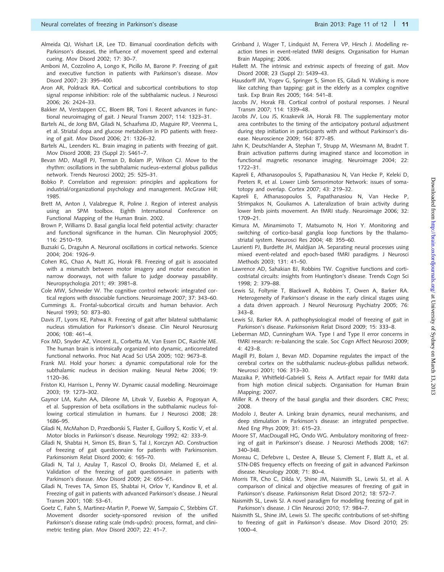- <span id="page-10-0"></span>Almeida QJ, Wishart LR, Lee TD. Bimanual coordination deficits with Parkinson's diseaseL the influence of movement speed and external cueing. Mov Disord 2002; 17: 30–7.
- Amboni M, Cozzolino A, Longo K, Picillo M, Barone P. Freezing of gait and executive function in patients with Parkinson's disease. Mov Disord 2007; 23: 395–400.
- Aron AR, Poldrack RA. Cortical and subcortical contributions to stop signal response inhibition: role of the subthalamic nucleus. J Neurosci 2006; 26: 2424–33.
- Bakker M, Verstappen CC, Bloem BR, Toni I. Recent advances in functional neuroimaging of gait. J Neural Transm 2007; 114: 1323–31.
- Bartels AL, de Jong BM, Giladi N, Schaafsma JD, Maguire RP, Veenma L, et al. Striatal dopa and glucose metabolism in PD patients with freezing of gait. Mov Disord 2006; 21: 1326–32.
- Bartels AL, Leenders KL. Brain imaging in patients with freezing of gait. Mov Disord 2008; 23 (Suppl 2): S461–7.
- Bevan MD, Magill PJ, Terman D, Bolam JP, Wilson CJ. Move to the rhythm: oscillations in the subthalamic nucleus–external globus pallidus network. Trends Neurosci 2002; 25: 525–31.
- Bobko P. Correlation and regression: principles and applications for industrial/organizational psychology and management. McGraw Hill; 1985.
- Brett M, Anton J, Valabregue R, Poline J. Region of interest analysis using an SPM toolbox. Eighth International Conference on Functional Mapping of the Human Brain. 2002.
- Brown P, Williams D. Basal ganglia local field potential activity: character and functional significance in the human. Clin Neurophysiol 2005; 116: 2510–19.
- Buzsaki G, Draguhn A. Neuronal oscillations in cortical networks. Science 2004; 204: 1926–9.
- Cohen RG, Chao A, Nutt JG, Horak FB. Freezing of gait is associated with a mismatch between motor imagery and motor execution in narrow doorways, not with failure to judge doorway passability. Neuropsychologia 2011; 49: 3981–8.
- Cole MW, Schneider W. The cognitive control network: integrated cortical regions with dissociable functions. Neuroimage 2007; 37: 343–60.
- Cummings JL. Frontal-subcortical circuits and human behavior. Arch Neurol 1993; 50: 873–80.
- Davis JT, Lyons KE, Pahwa R. Freezing of gait after bilateral subthalamic nucleus stimulation for Parkinson's disease. Clin Neurol Neurosurg 2006; 108: 461–4.
- Fox MD, Snyder AZ, Vincent JL, Corbetta M, Van Essen DC, Raichle ME. The human brain is intrinsically organized into dynamic, anticorrelated functional networks. Proc Nat Acad Sci USA 2005; 102: 9673–8.
- Frank MJ. Hold your horses: a dynamic computational role for the subthalamic nucleus in decision making. Neural Netw 2006; 19: 1120–36.
- Friston KJ, Harrison L, Penny W. Dynamic causal modelling. Neuroimage 2003; 19: 1273–302.
- Gaynor LM, Kuhn AA, Dileone M, Litvak V, Eusebio A, Pogosyan A, et al. Suppression of beta oscillations in the subthalamic nucleus following cortical stimulation in humans. Eur J Neurosci 2008; 28: 1686–95.
- Giladi N, McMahon D, Przedborski S, Flaster E, Guillory S, Kostic V, et al. Motor blocks in Parkinson's disease. Neurology 1992; 42: 333–9.
- Giladi N, Shabtai H, Simon ES, Biran S, Tal J, Korczyn AD. Construction of freezing of gait questionnaire for patients with Parkinsonism. Parkinsonism Relat Disord 2000; 6: 165–70.
- Giladi N, Tal J, Azulay T, Rascol O, Brooks DJ, Melamed E, et al. Validation of the freezing of gait questionnaire in patients with Parkinson's disease. Mov Disord 2009; 24: 655–61.
- Giladi N, Treves TA, Simon ES, Shabtai H, Orlov Y, Kandinov B, et al. Freezing of gait in patients with advanced Parkinson's disease. J Neural Transm 2001; 108: 53–61.
- Goetz C, Fahn S, Martinez-Martin P, Poewe W, Sampaio C, Stebbins GT. Movement disorder society-sponsored revision of the unified Parkinson's disease rating scale (mds-updrs): process, format, and clinimetric testing plan. Mov Disord 2007; 22: 41–7.
- Grinband J, Wager T, Lindquist M, Ferrera VP, Hirsch J. Modelling reaction times in event-related fMRI designs. Organisation for Human Brain Mapping; 2006.
- Hallett M. The intrinsic and extrinsic aspects of freezing of gait. Mov Disord 2008; 23 (Suppl 2): S439–43.
- Hausdorff JM, Yogev G, Springer S, Simon ES, Giladi N. Walking is more like catching than tapping: gait in the elderly as a complex cognitive task. Exp Brain Res 2005; 164: 541–8.
- Jacobs JV, Horak FB. Cortical control of postural responses. J Neural Transm 2007; 114: 1339–48.
- Jacobs JV, Lou JS, Kraakevik JA, Horak FB. The supplementary motor area contributes to the timing of the anticipatory postural adjustment during step initiation in participants with and without Parkinson's disease. Neuroscience 2009; 164: 877–85.
- Jahn K, Deutschlander A, Stephan T, Strupp M, Wiesmann M, Bradnt T. Brain activation patterns during imagined stance and locomotion in functional magnetic resonance imaging. Neuroimage 2004; 22: 1722–31.
- Kapreli E, Athanasopoulos S, Papathanasiou N, Van Hecke P, Keleki D, Peeters R, et al. Lower Limb Sensorimotor Network: issues of somatotopy and overlap. Cortex 2007; 43: 219–32.
- Kapreli E, Athanasopoulos S, Papathanasiou N, Van Hecke P, Strimpakos N, Gouliamos A. Lateralization of brain activity during lower limb joints movement. An fMRI study. Neuroimage 2006; 32: 1709–21.
- Kimura M, Minamimoto T, Matsumoto N, Hori Y. Monitoring and switching of cortico-basal ganglia loop functions by the thalamostriatal system. Neurosci Res 2004; 48: 355–60.
- Laurienti PJ, Burdette JH, Maldjian JA. Separating neural processes using mixed event-related and epoch-based fMRI paradigms. J Neurosci Methods 2003; 131: 41–50.
- Lawrence AD, Sahakian BJ, Robbins TW. Cognitive functions and corticostriatal circuits: insights from Huntington's disease. Trends Cogn Sci 1998; 2: 379–88.
- Lewis SJ, Foltynie T, Blackwell A, Robbins T, Owen A, Barker RA. Heterogeneity of Parkinson's disease in the early clinical stages using a data driven approach. J Neurol Neurosurg Psychiatry 2005; 76: 343–8.
- Lewis SJ, Barker RA. A pathophysiological model of freezing of gait in Parkinson's disease. Parkinsonism Relat Disord 2009; 15: 333–8.
- Lieberman MD, Cunningham WA. Type I and Type II error concerns in fMRI research: re-balancing the scale. Soc Cogn Affect Neurosci 2009; 4: 423–8.
- Magill PJ, Bolam J, Bevan MD. Dopamine regulates the impact of the cerebral cortex on the subthalamic nucleus-globus pallidus network. Neurosci 2001; 106: 313–30.
- Mazaika P, Whitfield-Gabrieli S, Reiss A. Artifact repair for fMRI data from high motion clinical subjects. Organisation for Human Brain Mapping; 2007.
- Miller R. A theory of the basal ganglia and their disorders. CRC Press; 2008.
- Modolo J, Beuter A. Linking brain dynamics, neural mechanisms, and deep stimulation in Parkinson's disease: an integrated perspective. Med Eng Phys 2009; 31: 615–23.
- Moore ST, MacDougall HG, Ondo WG. Ambulatory monitoring of freezing of gait in Parkinson's disease. J Neurosci Methods 2008; 167: 340–348.
- Moreau C, Defebvre L, Destee A, Bleuse S, Clement F, Blatt JL, et al. STN-DBS frequency effects on freezing of gait in advanced Parkinson disease. Neurology 2008; 71: 80–4.
- Morris TR, Cho C, Dilda V, Shine JM, Naismith SL, Lewis SJ, et al. A comparison of clinical and objective measures of freezing of gait in Parkinson's disease. Parkinsonism Relat Disord 2012; 18: 572–7.
- Naismith SL, Lewis SJ. A novel paradigm for modelling freezing of gait in Parkinson's disease. J Clin Neurosci 2010; 17: 984–7.
- Naismith SL, Shine JM, Lewis SJ. The specific contributions of set-shifting to freezing of gait in Parkinson's disease. Mov Disord 2010; 25: 1000–4.